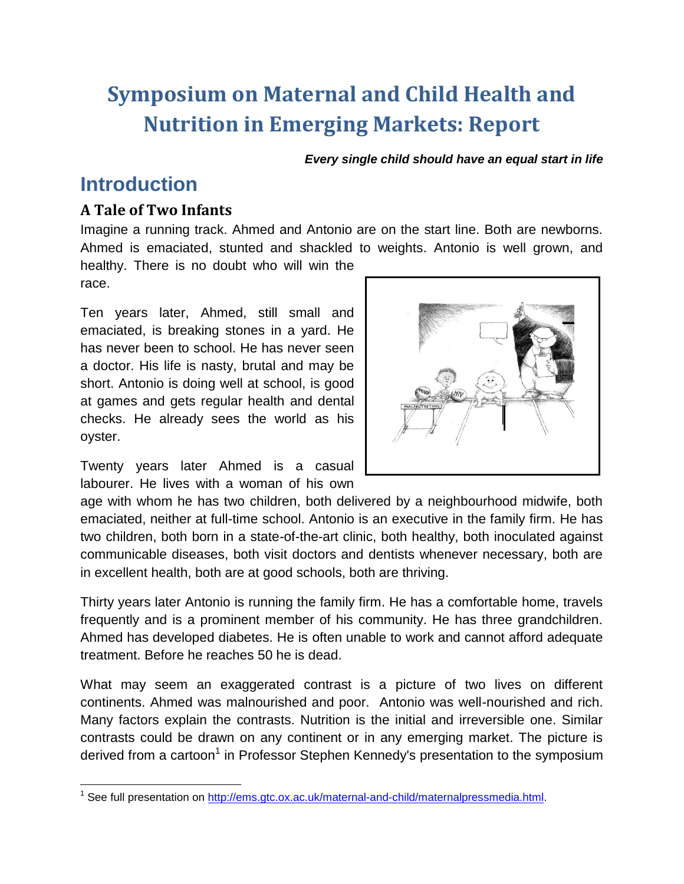# **Symposium on Maternal and Child Health and Nutrition in Emerging Markets: Report**

*Every single child should have an equal start in life*

# **Introduction**

#### **A Tale of Two Infants**

Imagine a running track. Ahmed and Antonio are on the start line. Both are newborns. Ahmed is emaciated, stunted and shackled to weights. Antonio is well grown, and

healthy. There is no doubt who will win the race.

Ten years later, Ahmed, still small and emaciated, is breaking stones in a yard. He has never been to school. He has never seen a doctor. His life is nasty, brutal and may be short. Antonio is doing well at school, is good at games and gets regular health and dental checks. He already sees the world as his oyster.

Twenty years later Ahmed is a casual labourer. He lives with a woman of his own



age with whom he has two children, both delivered by a neighbourhood midwife, both emaciated, neither at full-time school. Antonio is an executive in the family firm. He has two children, both born in a state-of-the-art clinic, both healthy, both inoculated against communicable diseases, both visit doctors and dentists whenever necessary, both are in excellent health, both are at good schools, both are thriving.

Thirty years later Antonio is running the family firm. He has a comfortable home, travels frequently and is a prominent member of his community. He has three grandchildren. Ahmed has developed diabetes. He is often unable to work and cannot afford adequate treatment. Before he reaches 50 he is dead.

What may seem an exaggerated contrast is a picture of two lives on different continents. Ahmed was malnourished and poor. Antonio was well-nourished and rich. Many factors explain the contrasts. Nutrition is the initial and irreversible one. Similar contrasts could be drawn on any continent or in any emerging market. The picture is derived from a cartoon<sup>1</sup> in Professor Stephen Kennedy's presentation to the symposium

 $\overline{a}$ <sup>1</sup> See full presentation on [http://ems.gtc.ox.ac.uk/maternal-and-child/maternalpressmedia.html.](https://owa.nexus.ox.ac.uk/owa/redir.aspx?C=qQo0zpj_rk2zBvBcL-QmqeMrtNu0BdEIccySrVR7BXcCRC0sbmdSl0L6wbGizY5Q0wK5MYCADeY.&URL=http%3a%2f%2fems.gtc.ox.ac.uk%2fmaternal-and-child%2fmaternalpressmedia.html)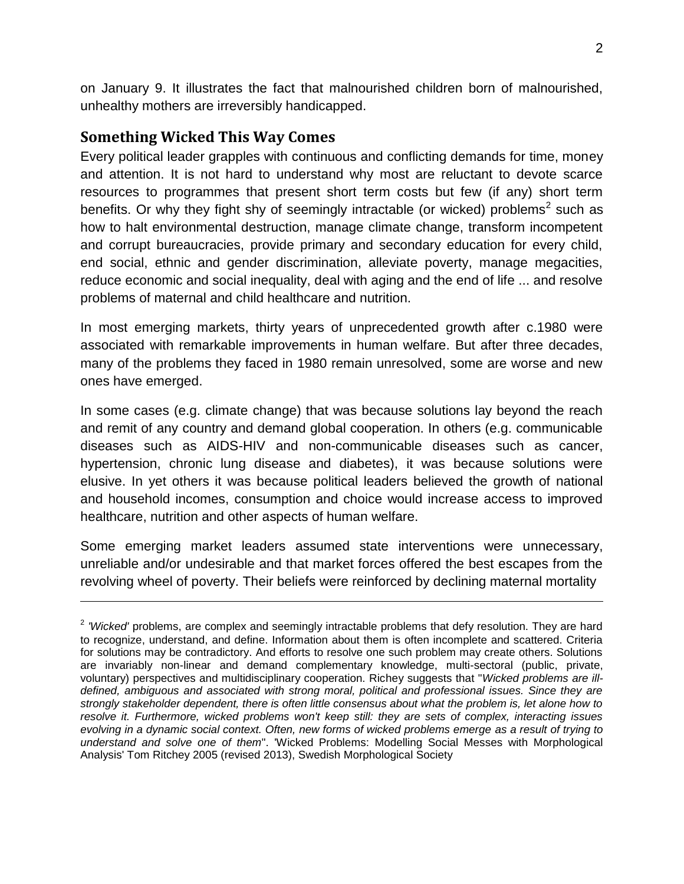on January 9. It illustrates the fact that malnourished children born of malnourished, unhealthy mothers are irreversibly handicapped.

#### **Something Wicked This Way Comes**

 $\overline{a}$ 

Every political leader grapples with continuous and conflicting demands for time, money and attention. It is not hard to understand why most are reluctant to devote scarce resources to programmes that present short term costs but few (if any) short term benefits. Or why they fight shy of seemingly intractable (or wicked) problems<sup>2</sup> such as how to halt environmental destruction, manage climate change, transform incompetent and corrupt bureaucracies, provide primary and secondary education for every child, end social, ethnic and gender discrimination, alleviate poverty, manage megacities, reduce economic and social inequality, deal with aging and the end of life ... and resolve problems of maternal and child healthcare and nutrition.

In most emerging markets, thirty years of unprecedented growth after c.1980 were associated with remarkable improvements in human welfare. But after three decades, many of the problems they faced in 1980 remain unresolved, some are worse and new ones have emerged.

In some cases (e.g. climate change) that was because solutions lay beyond the reach and remit of any country and demand global cooperation. In others (e.g. communicable diseases such as AIDS-HIV and non-communicable diseases such as cancer, hypertension, chronic lung disease and diabetes), it was because solutions were elusive. In yet others it was because political leaders believed the growth of national and household incomes, consumption and choice would increase access to improved healthcare, nutrition and other aspects of human welfare.

Some emerging market leaders assumed state interventions were unnecessary, unreliable and/or undesirable and that market forces offered the best escapes from the revolving wheel of poverty. Their beliefs were reinforced by declining maternal mortality

<sup>&</sup>lt;sup>2</sup> 'Wicked' problems, are complex and seemingly intractable problems that defy resolution. They are hard to recognize, understand, and define. Information about them is often incomplete and scattered. Criteria for solutions may be contradictory. And efforts to resolve one such problem may create others. Solutions are invariably non-linear and demand complementary knowledge, multi-sectoral (public, private, voluntary) perspectives and multidisciplinary cooperation. Richey suggests that "*Wicked problems are illdefined, ambiguous and associated with strong moral, political and professional issues. Since they are strongly stakeholder dependent, there is often little consensus about what the problem is, let alone how to resolve it. Furthermore, wicked problems won't keep still: they are sets of complex, interacting issues evolving in a dynamic social context. Often, new forms of wicked problems emerge as a result of trying to understand and solve one of them*". 'Wicked Problems: Modelling Social Messes with Morphological Analysis' Tom Ritchey 2005 (revised 2013), Swedish Morphological Society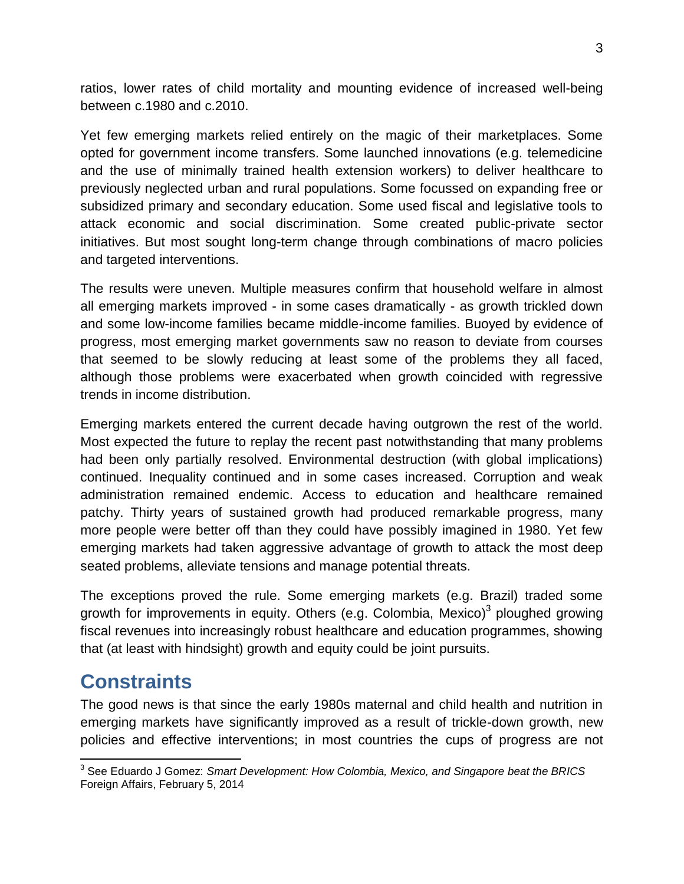ratios, lower rates of child mortality and mounting evidence of increased well-being between c.1980 and c.2010.

Yet few emerging markets relied entirely on the magic of their marketplaces. Some opted for government income transfers. Some launched innovations (e.g. telemedicine and the use of minimally trained health extension workers) to deliver healthcare to previously neglected urban and rural populations. Some focussed on expanding free or subsidized primary and secondary education. Some used fiscal and legislative tools to attack economic and social discrimination. Some created public-private sector initiatives. But most sought long-term change through combinations of macro policies and targeted interventions.

The results were uneven. Multiple measures confirm that household welfare in almost all emerging markets improved - in some cases dramatically - as growth trickled down and some low-income families became middle-income families. Buoyed by evidence of progress, most emerging market governments saw no reason to deviate from courses that seemed to be slowly reducing at least some of the problems they all faced, although those problems were exacerbated when growth coincided with regressive trends in income distribution.

Emerging markets entered the current decade having outgrown the rest of the world. Most expected the future to replay the recent past notwithstanding that many problems had been only partially resolved. Environmental destruction (with global implications) continued. Inequality continued and in some cases increased. Corruption and weak administration remained endemic. Access to education and healthcare remained patchy. Thirty years of sustained growth had produced remarkable progress, many more people were better off than they could have possibly imagined in 1980. Yet few emerging markets had taken aggressive advantage of growth to attack the most deep seated problems, alleviate tensions and manage potential threats.

The exceptions proved the rule. Some emerging markets (e.g. Brazil) traded some growth for improvements in equity. Others (e.g. Colombia, Mexico)<sup>3</sup> ploughed growing fiscal revenues into increasingly robust healthcare and education programmes, showing that (at least with hindsight) growth and equity could be joint pursuits.

# **Constraints**

The good news is that since the early 1980s maternal and child health and nutrition in emerging markets have significantly improved as a result of trickle-down growth, new policies and effective interventions; in most countries the cups of progress are not

 $\overline{\phantom{a}}$ 3 See Eduardo J Gomez: *Smart Development: How Colombia, Mexico, and Singapore beat the BRICS* Foreign Affairs, February 5, 2014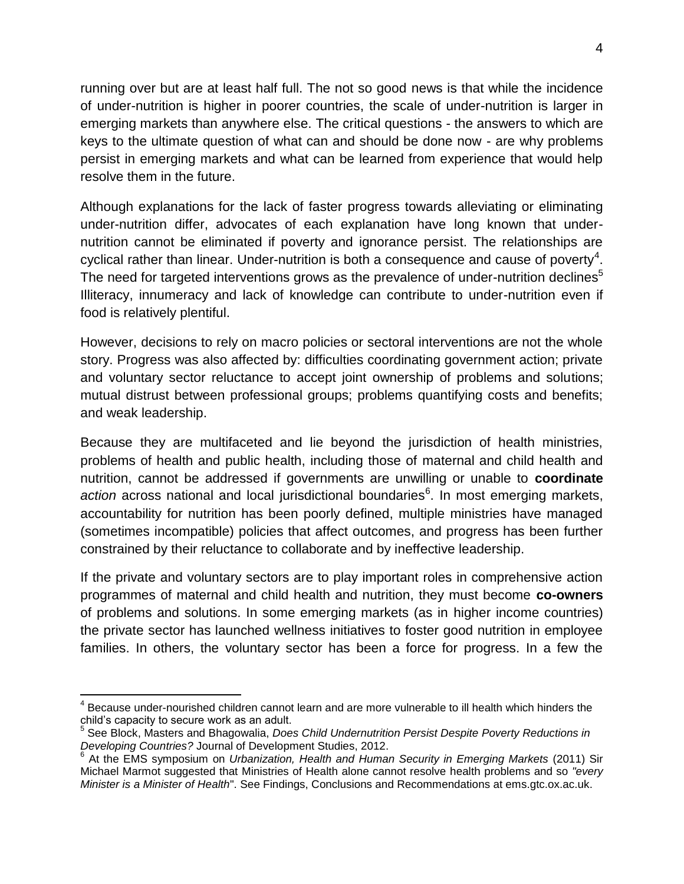running over but are at least half full. The not so good news is that while the incidence of under-nutrition is higher in poorer countries, the scale of under-nutrition is larger in emerging markets than anywhere else. The critical questions - the answers to which are keys to the ultimate question of what can and should be done now - are why problems persist in emerging markets and what can be learned from experience that would help resolve them in the future.

Although explanations for the lack of faster progress towards alleviating or eliminating under-nutrition differ, advocates of each explanation have long known that undernutrition cannot be eliminated if poverty and ignorance persist. The relationships are cyclical rather than linear. Under-nutrition is both a consequence and cause of poverty<sup>4</sup>. The need for targeted interventions grows as the prevalence of under-nutrition declines<sup>5</sup> Illiteracy, innumeracy and lack of knowledge can contribute to under-nutrition even if food is relatively plentiful.

However, decisions to rely on macro policies or sectoral interventions are not the whole story. Progress was also affected by: difficulties coordinating government action; private and voluntary sector reluctance to accept joint ownership of problems and solutions; mutual distrust between professional groups; problems quantifying costs and benefits; and weak leadership.

Because they are multifaceted and lie beyond the jurisdiction of health ministries, problems of health and public health, including those of maternal and child health and nutrition, cannot be addressed if governments are unwilling or unable to **coordinate**  action across national and local jurisdictional boundaries<sup>6</sup>. In most emerging markets, accountability for nutrition has been poorly defined, multiple ministries have managed (sometimes incompatible) policies that affect outcomes, and progress has been further constrained by their reluctance to collaborate and by ineffective leadership.

If the private and voluntary sectors are to play important roles in comprehensive action programmes of maternal and child health and nutrition, they must become **co-owners** of problems and solutions. In some emerging markets (as in higher income countries) the private sector has launched wellness initiatives to foster good nutrition in employee families. In others, the voluntary sector has been a force for progress. In a few the

 $\overline{a}$ 

<sup>&</sup>lt;sup>4</sup> Because under-nourished children cannot learn and are more vulnerable to ill health which hinders the child's capacity to secure work as an adult.

<sup>5</sup> See Block, Masters and Bhagowalia, *Does Child Undernutrition Persist Despite Poverty Reductions in Developing Countries?* Journal of Development Studies, 2012.

<sup>6</sup> At the EMS symposium on *Urbanization, Health and Human Security in Emerging Markets* (2011) Sir Michael Marmot suggested that Ministries of Health alone cannot resolve health problems and so *"every Minister is a Minister of Health*". See Findings, Conclusions and Recommendations at ems.gtc.ox.ac.uk.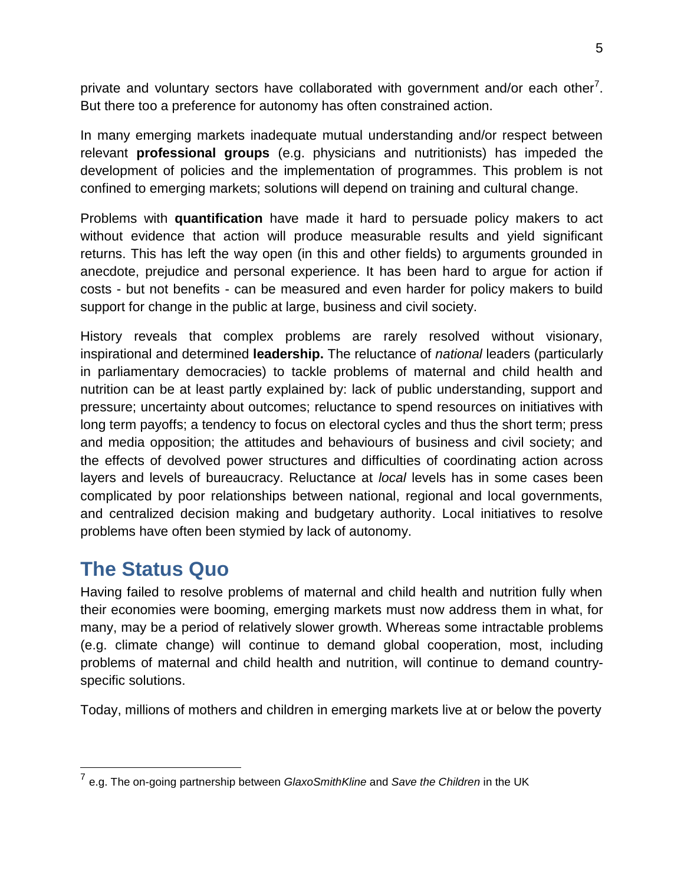private and voluntary sectors have collaborated with government and/or each other<sup>7</sup>. But there too a preference for autonomy has often constrained action.

In many emerging markets inadequate mutual understanding and/or respect between relevant **professional groups** (e.g. physicians and nutritionists) has impeded the development of policies and the implementation of programmes. This problem is not confined to emerging markets; solutions will depend on training and cultural change.

Problems with **quantification** have made it hard to persuade policy makers to act without evidence that action will produce measurable results and yield significant returns. This has left the way open (in this and other fields) to arguments grounded in anecdote, prejudice and personal experience. It has been hard to argue for action if costs - but not benefits - can be measured and even harder for policy makers to build support for change in the public at large, business and civil society.

History reveals that complex problems are rarely resolved without visionary, inspirational and determined **leadership.** The reluctance of *national* leaders (particularly in parliamentary democracies) to tackle problems of maternal and child health and nutrition can be at least partly explained by: lack of public understanding, support and pressure; uncertainty about outcomes; reluctance to spend resources on initiatives with long term payoffs; a tendency to focus on electoral cycles and thus the short term; press and media opposition; the attitudes and behaviours of business and civil society; and the effects of devolved power structures and difficulties of coordinating action across layers and levels of bureaucracy. Reluctance at *local* levels has in some cases been complicated by poor relationships between national, regional and local governments, and centralized decision making and budgetary authority. Local initiatives to resolve problems have often been stymied by lack of autonomy.

# **The Status Quo**

Having failed to resolve problems of maternal and child health and nutrition fully when their economies were booming, emerging markets must now address them in what, for many, may be a period of relatively slower growth. Whereas some intractable problems (e.g. climate change) will continue to demand global cooperation, most, including problems of maternal and child health and nutrition, will continue to demand countryspecific solutions.

Today, millions of mothers and children in emerging markets live at or below the poverty

 7 e.g. The on-going partnership between *GlaxoSmithKline* and *Save the Children* in the UK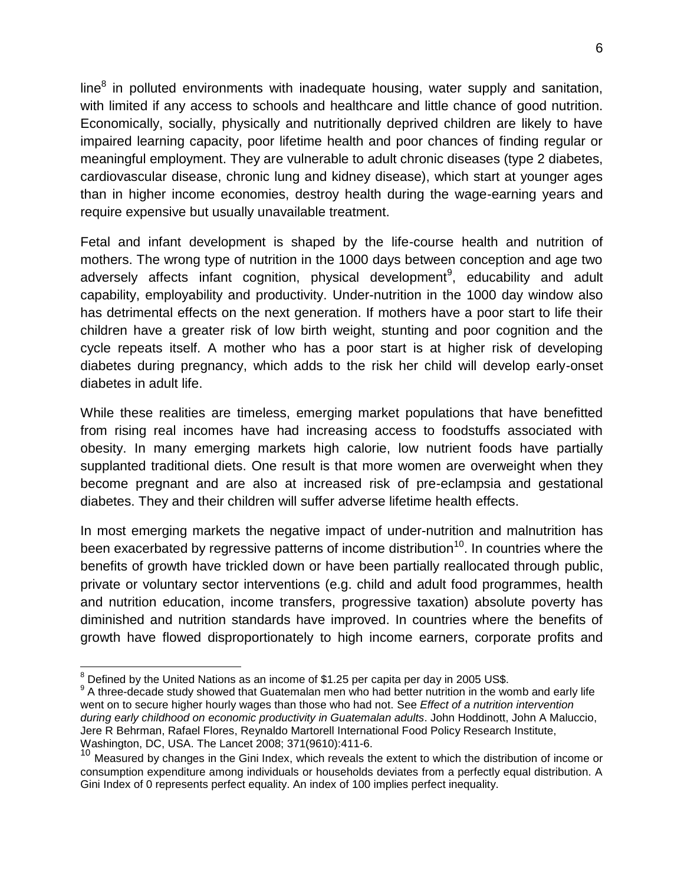line $^8$  in polluted environments with inadequate housing, water supply and sanitation, with limited if any access to schools and healthcare and little chance of good nutrition. Economically, socially, physically and nutritionally deprived children are likely to have impaired learning capacity, poor lifetime health and poor chances of finding regular or meaningful employment. They are vulnerable to adult chronic diseases (type 2 diabetes, cardiovascular disease, chronic lung and kidney disease), which start at younger ages than in higher income economies, destroy health during the wage-earning years and require expensive but usually unavailable treatment.

Fetal and infant development is shaped by the life-course health and nutrition of mothers. The wrong type of nutrition in the 1000 days between conception and age two adversely affects infant cognition, physical development<sup>9</sup>, educability and adult capability, employability and productivity. Under-nutrition in the 1000 day window also has detrimental effects on the next generation. If mothers have a poor start to life their children have a greater risk of low birth weight, stunting and poor cognition and the cycle repeats itself. A mother who has a poor start is at higher risk of developing diabetes during pregnancy, which adds to the risk her child will develop early-onset diabetes in adult life.

While these realities are timeless, emerging market populations that have benefitted from rising real incomes have had increasing access to foodstuffs associated with obesity. In many emerging markets high calorie, low nutrient foods have partially supplanted traditional diets. One result is that more women are overweight when they become pregnant and are also at increased risk of pre-eclampsia and gestational diabetes. They and their children will suffer adverse lifetime health effects.

In most emerging markets the negative impact of under-nutrition and malnutrition has been exacerbated by regressive patterns of income distribution<sup>10</sup>. In countries where the benefits of growth have trickled down or have been partially reallocated through public, private or voluntary sector interventions (e.g. child and adult food programmes, health and nutrition education, income transfers, progressive taxation) absolute poverty has diminished and nutrition standards have improved. In countries where the benefits of growth have flowed disproportionately to high income earners, corporate profits and

 $\overline{a}$ 

 $^8$  Defined by the United Nations as an income of \$1.25 per capita per day in 2005 US\$.

<sup>&</sup>lt;sup>9</sup> A three-decade study showed that Guatemalan men who had better nutrition in the womb and early life went on to secure higher hourly wages than those who had not. See *Effect of a nutrition intervention during early childhood on economic productivity in Guatemalan adults*. [John Hoddinott,](http://www.researchgate.net/researcher/6935771_John_Hoddinott/) [John A Maluccio,](http://www.researchgate.net/researcher/8365783_John_A_Maluccio/) [Jere R Behrman,](http://www.researchgate.net/researcher/3839767_Jere_R_Behrman/) [Rafael Flores,](http://www.researchgate.net/researcher/38790095_Rafael_Flores/) [Reynaldo Martorell](http://www.researchgate.net/researcher/38775165_Reynaldo_Martorell/) International Food Policy Research Institute, Washington, DC, USA. [The Lancet](http://www.researchgate.net/journal/1474-547X_The_Lancet) 2008; 371(9610):411-6.

<sup>10</sup> Measured by changes in the Gini Index, which reveals the extent to which the distribution of income or consumption expenditure among individuals or households deviates from a perfectly equal distribution. A Gini Index of 0 represents perfect equality. An index of 100 implies perfect inequality.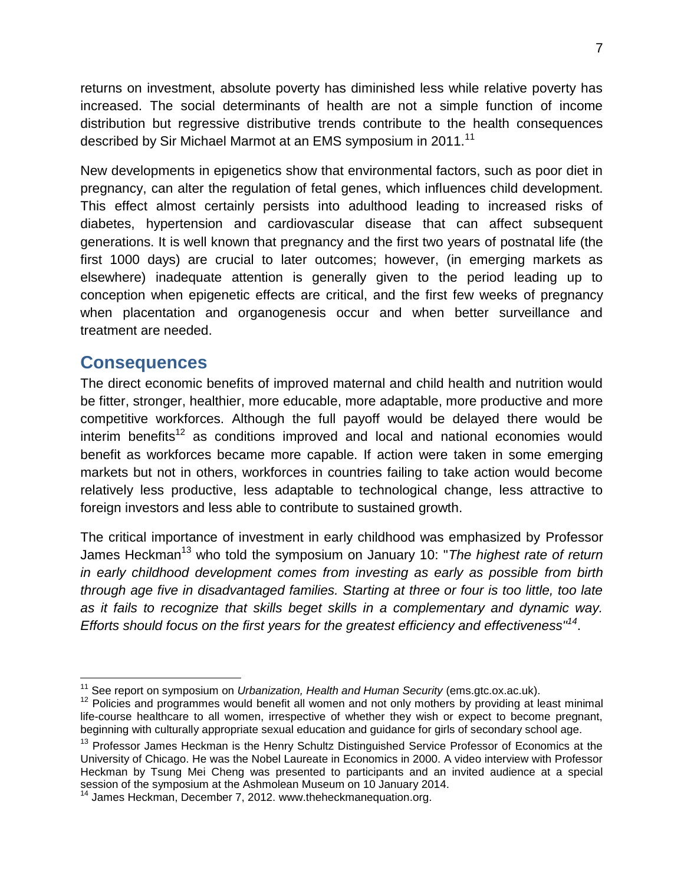returns on investment, absolute poverty has diminished less while relative poverty has increased. The social determinants of health are not a simple function of income distribution but regressive distributive trends contribute to the health consequences described by Sir Michael Marmot at an EMS symposium in 2011.<sup>11</sup>

New developments in epigenetics show that environmental factors, such as poor diet in pregnancy, can alter the regulation of fetal genes, which influences child development. This effect almost certainly persists into adulthood leading to increased risks of diabetes, hypertension and cardiovascular disease that can affect subsequent generations. It is well known that pregnancy and the first two years of postnatal life (the first 1000 days) are crucial to later outcomes; however, (in emerging markets as elsewhere) inadequate attention is generally given to the period leading up to conception when epigenetic effects are critical, and the first few weeks of pregnancy when placentation and organogenesis occur and when better surveillance and treatment are needed.

#### **Consequences**

 $\overline{a}$ 

The direct economic benefits of improved maternal and child health and nutrition would be fitter, stronger, healthier, more educable, more adaptable, more productive and more competitive workforces. Although the full payoff would be delayed there would be  $interim$  benefits<sup>12</sup> as conditions improved and local and national economies would benefit as workforces became more capable. If action were taken in some emerging markets but not in others, workforces in countries failing to take action would become relatively less productive, less adaptable to technological change, less attractive to foreign investors and less able to contribute to sustained growth.

The critical importance of investment in early childhood was emphasized by Professor James Heckman<sup>13</sup> who told the symposium on January 10: "*The highest rate of return in early childhood development comes from investing as early as possible from birth through age five in disadvantaged families. Starting at three or four is too little, too late as it fails to recognize that skills beget skills in a complementary and dynamic way. Efforts should focus on the first years for the greatest efficiency and effectiveness"<sup>14</sup>* .

<sup>&</sup>lt;sup>11</sup> See report on symposium on *Urbanization, Health and Human Security* (ems.gtc.ox.ac.uk).

 $12$  Policies and programmes would benefit all women and not only mothers by providing at least minimal life-course healthcare to all women, irrespective of whether they wish or expect to become pregnant, beginning with culturally appropriate sexual education and guidance for girls of secondary school age.

<sup>&</sup>lt;sup>13</sup> Professor James Heckman is the Henry Schultz Distinguished Service Professor of Economics at the University of Chicago. He was the Nobel Laureate in Economics in 2000. A video interview with Professor Heckman by Tsung Mei Cheng was presented to participants and an invited audience at a special session of the symposium at the Ashmolean Museum on 10 January 2014.

<sup>&</sup>lt;sup>14</sup> James Heckman, December 7, 2012. www.theheckmanequation.org.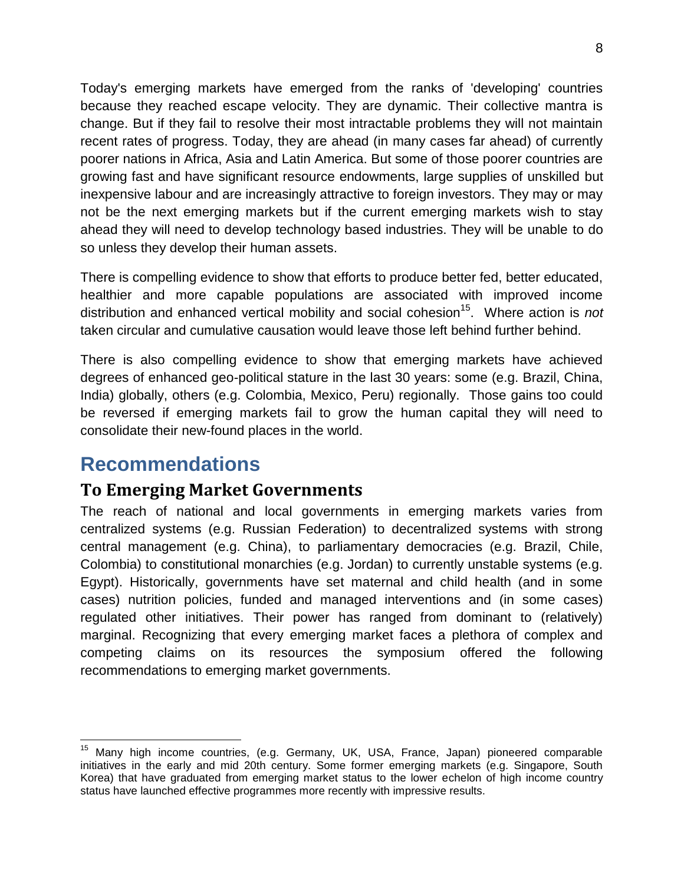Today's emerging markets have emerged from the ranks of 'developing' countries because they reached escape velocity. They are dynamic. Their collective mantra is change. But if they fail to resolve their most intractable problems they will not maintain recent rates of progress. Today, they are ahead (in many cases far ahead) of currently poorer nations in Africa, Asia and Latin America. But some of those poorer countries are growing fast and have significant resource endowments, large supplies of unskilled but inexpensive labour and are increasingly attractive to foreign investors. They may or may not be the next emerging markets but if the current emerging markets wish to stay ahead they will need to develop technology based industries. They will be unable to do so unless they develop their human assets.

There is compelling evidence to show that efforts to produce better fed, better educated, healthier and more capable populations are associated with improved income distribution and enhanced vertical mobility and social cohesion<sup>15</sup>. Where action is *not* taken circular and cumulative causation would leave those left behind further behind.

There is also compelling evidence to show that emerging markets have achieved degrees of enhanced geo-political stature in the last 30 years: some (e.g. Brazil, China, India) globally, others (e.g. Colombia, Mexico, Peru) regionally. Those gains too could be reversed if emerging markets fail to grow the human capital they will need to consolidate their new-found places in the world.

# **Recommendations**

#### **To Emerging Market Governments**

The reach of national and local governments in emerging markets varies from centralized systems (e.g. Russian Federation) to decentralized systems with strong central management (e.g. China), to parliamentary democracies (e.g. Brazil, Chile, Colombia) to constitutional monarchies (e.g. Jordan) to currently unstable systems (e.g. Egypt). Historically, governments have set maternal and child health (and in some cases) nutrition policies, funded and managed interventions and (in some cases) regulated other initiatives. Their power has ranged from dominant to (relatively) marginal. Recognizing that every emerging market faces a plethora of complex and competing claims on its resources the symposium offered the following recommendations to emerging market governments.

 $\overline{a}$ Many high income countries, (e.g. Germany, UK, USA, France, Japan) pioneered comparable initiatives in the early and mid 20th century. Some former emerging markets (e.g. Singapore, South Korea) that have graduated from emerging market status to the lower echelon of high income country status have launched effective programmes more recently with impressive results.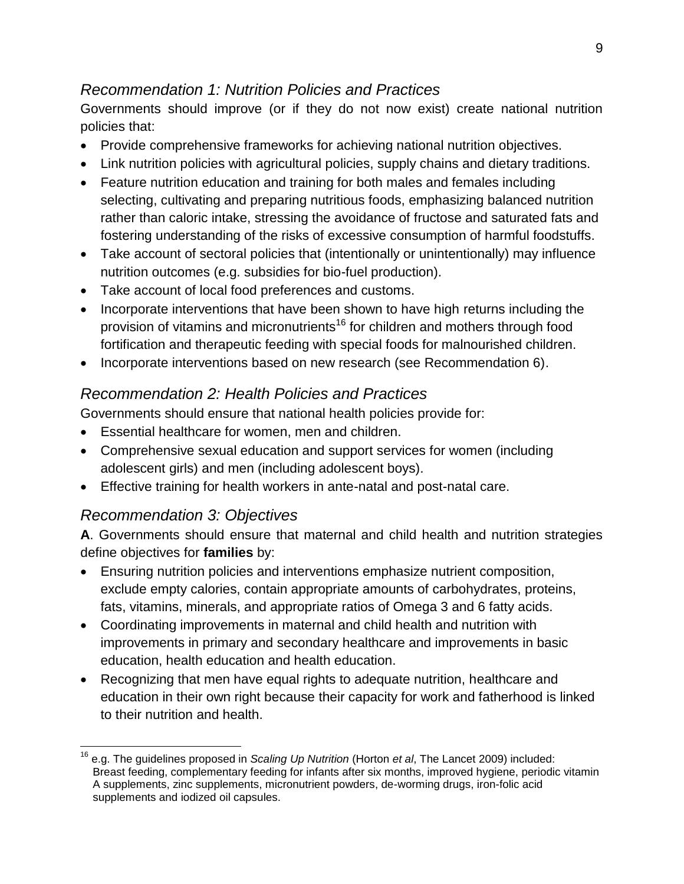#### *Recommendation 1: Nutrition Policies and Practices*

Governments should improve (or if they do not now exist) create national nutrition policies that:

- Provide comprehensive frameworks for achieving national nutrition objectives.
- Link nutrition policies with agricultural policies, supply chains and dietary traditions.
- Feature nutrition education and training for both males and females including selecting, cultivating and preparing nutritious foods, emphasizing balanced nutrition rather than caloric intake, stressing the avoidance of fructose and saturated fats and fostering understanding of the risks of excessive consumption of harmful foodstuffs.
- Take account of sectoral policies that (intentionally or unintentionally) may influence nutrition outcomes (e.g. subsidies for bio-fuel production).
- Take account of local food preferences and customs.
- Incorporate interventions that have been shown to have high returns including the provision of vitamins and micronutrients<sup>16</sup> for children and mothers through food fortification and therapeutic feeding with special foods for malnourished children.
- Incorporate interventions based on new research (see Recommendation 6).

#### *Recommendation 2: Health Policies and Practices*

Governments should ensure that national health policies provide for:

- Essential healthcare for women, men and children.
- Comprehensive sexual education and support services for women (including adolescent girls) and men (including adolescent boys).
- Effective training for health workers in ante-natal and post-natal care.

#### *Recommendation 3: Objectives*

**A**. Governments should ensure that maternal and child health and nutrition strategies define objectives for **families** by:

- Ensuring nutrition policies and interventions emphasize nutrient composition, exclude empty calories, contain appropriate amounts of carbohydrates, proteins, fats, vitamins, minerals, and appropriate ratios of Omega 3 and 6 fatty acids.
- Coordinating improvements in maternal and child health and nutrition with improvements in primary and secondary healthcare and improvements in basic education, health education and health education.
- Recognizing that men have equal rights to adequate nutrition, healthcare and education in their own right because their capacity for work and fatherhood is linked to their nutrition and health.

 $\overline{a}$ <sup>16</sup> e.g. The guidelines proposed in *Scaling Up Nutrition* (Horton *et al*, The Lancet 2009) included: Breast feeding, complementary feeding for infants after six months, improved hygiene, periodic vitamin A supplements, zinc supplements, micronutrient powders, de-worming drugs, iron-folic acid supplements and iodized oil capsules.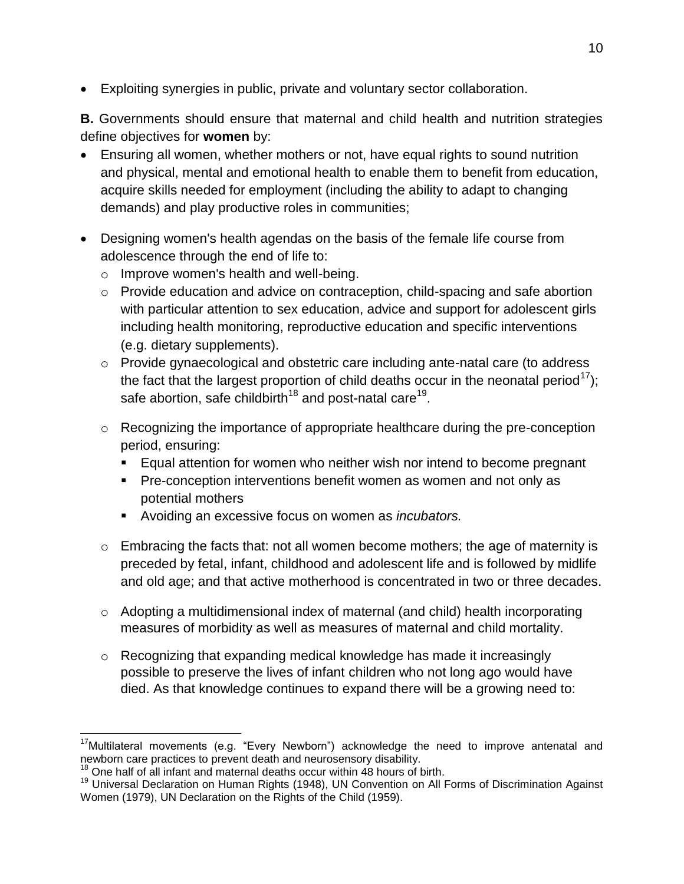Exploiting synergies in public, private and voluntary sector collaboration.

**B.** Governments should ensure that maternal and child health and nutrition strategies define objectives for **women** by:

- Ensuring all women, whether mothers or not, have equal rights to sound nutrition and physical, mental and emotional health to enable them to benefit from education, acquire skills needed for employment (including the ability to adapt to changing demands) and play productive roles in communities;
- Designing women's health agendas on the basis of the female life course from adolescence through the end of life to:
	- o Improve women's health and well-being.
	- o Provide education and advice on contraception, child-spacing and safe abortion with particular attention to sex education, advice and support for adolescent girls including health monitoring, reproductive education and specific interventions (e.g. dietary supplements).
	- o Provide gynaecological and obstetric care including ante-natal care (to address the fact that the largest proportion of child deaths occur in the neonatal period<sup>17</sup>); safe abortion, safe childbirth<sup>18</sup> and post-natal care<sup>19</sup>.
	- o Recognizing the importance of appropriate healthcare during the pre-conception period, ensuring:
		- Equal attention for women who neither wish nor intend to become pregnant
		- **Pre-conception interventions benefit women as women and not only as** potential mothers
		- Avoiding an excessive focus on women as *incubators.*
	- $\circ$  Embracing the facts that: not all women become mothers; the age of maternity is preceded by fetal, infant, childhood and adolescent life and is followed by midlife and old age; and that active motherhood is concentrated in two or three decades.
	- o Adopting a multidimensional index of maternal (and child) health incorporating measures of morbidity as well as measures of maternal and child mortality.
	- o Recognizing that expanding medical knowledge has made it increasingly possible to preserve the lives of infant children who not long ago would have died. As that knowledge continues to expand there will be a growing need to:

 $\overline{a}$ 

 $17$ Multilateral movements (e.g. "Every Newborn") acknowledge the need to improve antenatal and newborn care practices to prevent death and neurosensory disability.

 $18$  One half of all infant and maternal deaths occur within 48 hours of birth.

<sup>19</sup> Universal Declaration on Human Rights (1948), UN Convention on All Forms of Discrimination Against Women (1979), UN Declaration on the Rights of the Child (1959).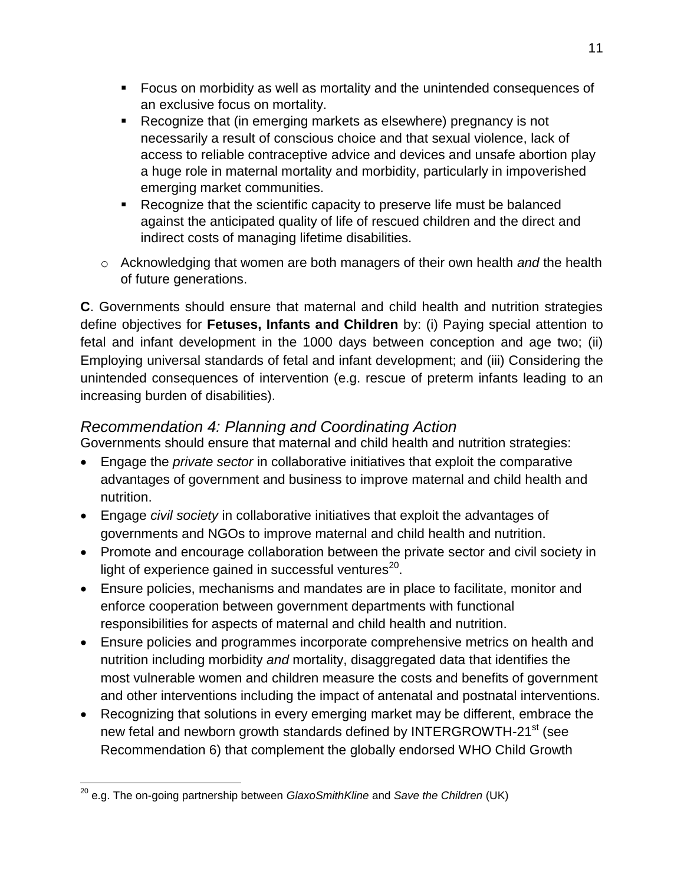- Focus on morbidity as well as mortality and the unintended consequences of an exclusive focus on mortality.
- Recognize that (in emerging markets as elsewhere) pregnancy is not necessarily a result of conscious choice and that sexual violence, lack of access to reliable contraceptive advice and devices and unsafe abortion play a huge role in maternal mortality and morbidity, particularly in impoverished emerging market communities.
- Recognize that the scientific capacity to preserve life must be balanced against the anticipated quality of life of rescued children and the direct and indirect costs of managing lifetime disabilities.
- o Acknowledging that women are both managers of their own health *and* the health of future generations.

**C**. Governments should ensure that maternal and child health and nutrition strategies define objectives for **Fetuses, Infants and Children** by: (i) Paying special attention to fetal and infant development in the 1000 days between conception and age two; (ii) Employing universal standards of fetal and infant development; and (iii) Considering the unintended consequences of intervention (e.g. rescue of preterm infants leading to an increasing burden of disabilities).

#### *Recommendation 4: Planning and Coordinating Action*

Governments should ensure that maternal and child health and nutrition strategies:

- Engage the *private sector* in collaborative initiatives that exploit the comparative advantages of government and business to improve maternal and child health and nutrition.
- Engage *civil society* in collaborative initiatives that exploit the advantages of governments and NGOs to improve maternal and child health and nutrition.
- Promote and encourage collaboration between the private sector and civil society in light of experience gained in successful ventures<sup>20</sup>.
- Ensure policies, mechanisms and mandates are in place to facilitate, monitor and enforce cooperation between government departments with functional responsibilities for aspects of maternal and child health and nutrition.
- Ensure policies and programmes incorporate comprehensive metrics on health and nutrition including morbidity *and* mortality, disaggregated data that identifies the most vulnerable women and children measure the costs and benefits of government and other interventions including the impact of antenatal and postnatal interventions.
- Recognizing that solutions in every emerging market may be different, embrace the new fetal and newborn growth standards defined by INTERGROWTH-21<sup>st</sup> (see Recommendation 6) that complement the globally endorsed WHO Child Growth

 $\overline{a}$ <sup>20</sup> e.g. The on-going partnership between *GlaxoSmithKline* and *Save the Children* (UK)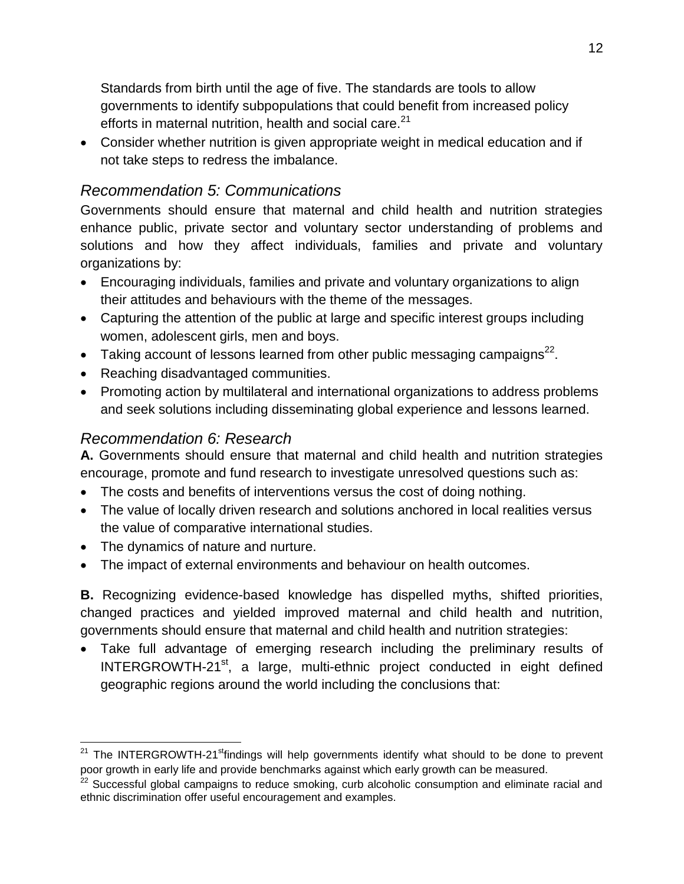Standards from birth until the age of five. The standards are tools to allow governments to identify subpopulations that could benefit from increased policy efforts in maternal nutrition, health and social care.<sup>21</sup>

 Consider whether nutrition is given appropriate weight in medical education and if not take steps to redress the imbalance.

#### *Recommendation 5: Communications*

Governments should ensure that maternal and child health and nutrition strategies enhance public, private sector and voluntary sector understanding of problems and solutions and how they affect individuals, families and private and voluntary organizations by:

- Encouraging individuals, families and private and voluntary organizations to align their attitudes and behaviours with the theme of the messages.
- Capturing the attention of the public at large and specific interest groups including women, adolescent girls, men and boys.
- Taking account of lessons learned from other public messaging campaigns<sup>22</sup>.
- Reaching disadvantaged communities.
- Promoting action by multilateral and international organizations to address problems and seek solutions including disseminating global experience and lessons learned.

#### *Recommendation 6: Research*

**A.** Governments should ensure that maternal and child health and nutrition strategies encourage, promote and fund research to investigate unresolved questions such as:

- The costs and benefits of interventions versus the cost of doing nothing.
- The value of locally driven research and solutions anchored in local realities versus the value of comparative international studies.
- The dynamics of nature and nurture.

 $\overline{a}$ 

The impact of external environments and behaviour on health outcomes.

**B.** Recognizing evidence-based knowledge has dispelled myths, shifted priorities, changed practices and yielded improved maternal and child health and nutrition, governments should ensure that maternal and child health and nutrition strategies:

 Take full advantage of emerging research including the preliminary results of INTERGROWTH-21<sup>st</sup>, a large, multi-ethnic project conducted in eight defined geographic regions around the world including the conclusions that:

 $21$  The INTERGROWTH-21<sup>st</sup>findings will help governments identify what should to be done to prevent poor growth in early life and provide benchmarks against which early growth can be measured.

<sup>&</sup>lt;sup>22</sup> Successful global campaigns to reduce smoking, curb alcoholic consumption and eliminate racial and ethnic discrimination offer useful encouragement and examples.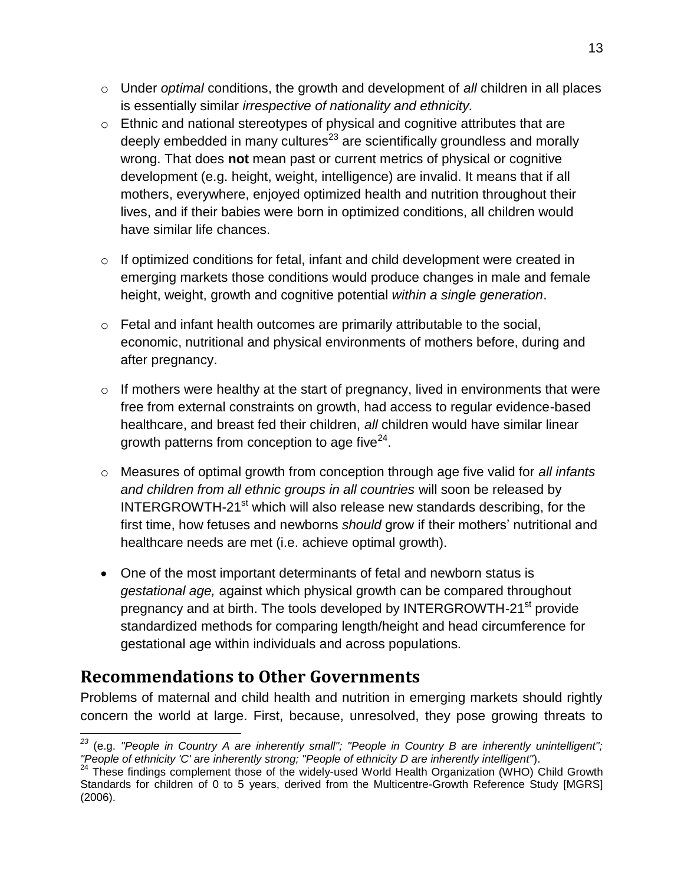- o Under *optimal* conditions, the growth and development of *all* children in all places is essentially similar *irrespective of nationality and ethnicity.*
- o Ethnic and national stereotypes of physical and cognitive attributes that are deeply embedded in many cultures<sup>23</sup> are scientifically groundless and morally wrong. That does **not** mean past or current metrics of physical or cognitive development (e.g. height, weight, intelligence) are invalid. It means that if all mothers, everywhere, enjoyed optimized health and nutrition throughout their lives, and if their babies were born in optimized conditions, all children would have similar life chances.
- $\circ$  If optimized conditions for fetal, infant and child development were created in emerging markets those conditions would produce changes in male and female height, weight, growth and cognitive potential *within a single generation*.
- $\circ$  Fetal and infant health outcomes are primarily attributable to the social, economic, nutritional and physical environments of mothers before, during and after pregnancy.
- $\circ$  If mothers were healthy at the start of pregnancy, lived in environments that were free from external constraints on growth, had access to regular evidence-based healthcare, and breast fed their children, *all* children would have similar linear growth patterns from conception to age five $^{24}$ .
- o Measures of optimal growth from conception through age five valid for *all infants and children from all ethnic groups in all countries* will soon be released by INTERGROWTH-21<sup>st</sup> which will also release new standards describing, for the first time, how fetuses and newborns *should* grow if their mothers' nutritional and healthcare needs are met (i.e. achieve optimal growth).
- One of the most important determinants of fetal and newborn status is *gestational age,* against which physical growth can be compared throughout pregnancy and at birth. The tools developed by INTERGROWTH-21<sup>st</sup> provide standardized methods for comparing length/height and head circumference for gestational age within individuals and across populations.

### **Recommendations to Other Governments**

Problems of maternal and child health and nutrition in emerging markets should rightly concern the world at large. First, because, unresolved, they pose growing threats to

 $\overline{a}$ *<sup>23</sup>* (e.g. *"People in Country A are inherently small"; "People in Country B are inherently unintelligent"; "People of ethnicity 'C' are inherently strong; "People of ethnicity D are inherently intelligent"*).

<sup>&</sup>lt;sup>24</sup> These findings complement those of the widely-used World Health Organization (WHO) Child Growth Standards for children of 0 to 5 years, derived from the Multicentre-Growth Reference Study [MGRS] (2006).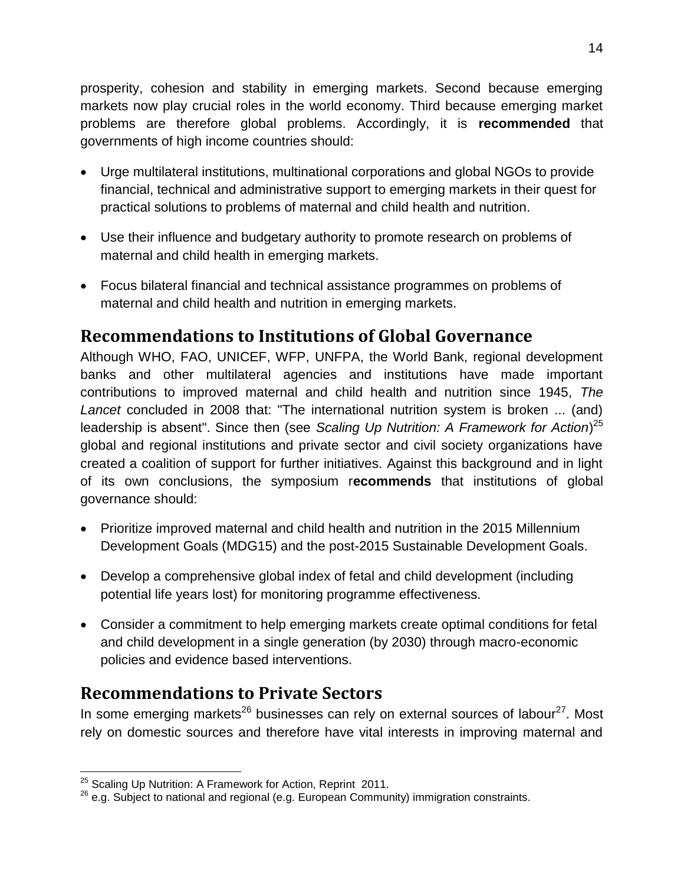prosperity, cohesion and stability in emerging markets. Second because emerging markets now play crucial roles in the world economy. Third because emerging market problems are therefore global problems. Accordingly, it is **recommended** that governments of high income countries should:

- Urge multilateral institutions, multinational corporations and global NGOs to provide financial, technical and administrative support to emerging markets in their quest for practical solutions to problems of maternal and child health and nutrition.
- Use their influence and budgetary authority to promote research on problems of maternal and child health in emerging markets.
- Focus bilateral financial and technical assistance programmes on problems of maternal and child health and nutrition in emerging markets.

### **Recommendations to Institutions of Global Governance**

Although WHO, FAO, UNICEF, WFP, UNFPA, the World Bank, regional development banks and other multilateral agencies and institutions have made important contributions to improved maternal and child health and nutrition since 1945, *The Lancet* concluded in 2008 that: "The international nutrition system is broken ... (and) leadership is absent". Since then (see *Scaling Up Nutrition: A Framework for Action*) 25 global and regional institutions and private sector and civil society organizations have created a coalition of support for further initiatives. Against this background and in light of its own conclusions, the symposium r**ecommends** that institutions of global governance should:

- Prioritize improved maternal and child health and nutrition in the 2015 Millennium Development Goals (MDG15) and the post-2015 Sustainable Development Goals.
- Develop a comprehensive global index of fetal and child development (including potential life years lost) for monitoring programme effectiveness.
- Consider a commitment to help emerging markets create optimal conditions for fetal and child development in a single generation (by 2030) through macro-economic policies and evidence based interventions. Ĩ

### **Recommendations to Private Sectors**

In some emerging markets<sup>26</sup> businesses can rely on external sources of labour<sup>27</sup>. Most rely on domestic sources and therefore have vital interests in improving maternal and

 $\overline{a}$  $^{25}$  Scaling Up Nutrition: A Framework for Action, Reprint 2011.

 $^{26}$  e.g. Subject to national and regional (e.g. European Community) immigration constraints.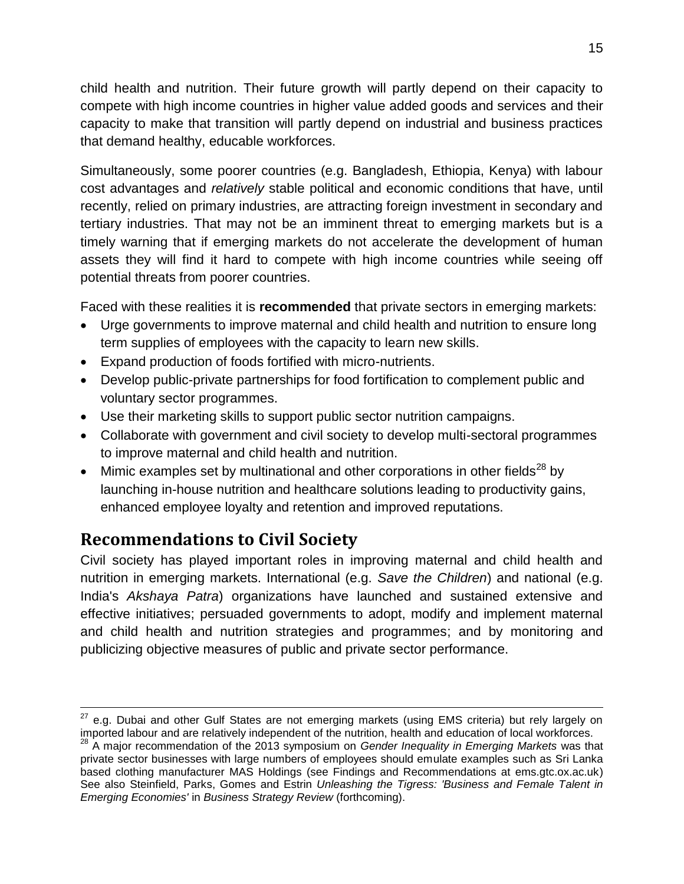child health and nutrition. Their future growth will partly depend on their capacity to compete with high income countries in higher value added goods and services and their capacity to make that transition will partly depend on industrial and business practices that demand healthy, educable workforces.

Simultaneously, some poorer countries (e.g. Bangladesh, Ethiopia, Kenya) with labour cost advantages and *relatively* stable political and economic conditions that have, until recently, relied on primary industries, are attracting foreign investment in secondary and tertiary industries. That may not be an imminent threat to emerging markets but is a timely warning that if emerging markets do not accelerate the development of human assets they will find it hard to compete with high income countries while seeing off potential threats from poorer countries.

Faced with these realities it is **recommended** that private sectors in emerging markets:

- Urge governments to improve maternal and child health and nutrition to ensure long term supplies of employees with the capacity to learn new skills.
- Expand production of foods fortified with micro-nutrients.
- Develop public-private partnerships for food fortification to complement public and voluntary sector programmes.
- Use their marketing skills to support public sector nutrition campaigns.
- Collaborate with government and civil society to develop multi-sectoral programmes to improve maternal and child health and nutrition.
- Mimic examples set by multinational and other corporations in other fields<sup>28</sup> by launching in-house nutrition and healthcare solutions leading to productivity gains, enhanced employee loyalty and retention and improved reputations.

# **Recommendations to Civil Society**

Civil society has played important roles in improving maternal and child health and nutrition in emerging markets. International (e.g. *Save the Children*) and national (e.g. India's *Akshaya Patra*) organizations have launched and sustained extensive and effective initiatives; persuaded governments to adopt, modify and implement maternal and child health and nutrition strategies and programmes; and by monitoring and publicizing objective measures of public and private sector performance.

 $\overline{a}$  $27$  e.g. Dubai and other Gulf States are not emerging markets (using EMS criteria) but rely largely on imported labour and are relatively independent of the nutrition, health and education of local workforces.

<sup>28</sup> A major recommendation of the 2013 symposium on *Gender Inequality in Emerging Markets* was that private sector businesses with large numbers of employees should emulate examples such as Sri Lanka based clothing manufacturer MAS Holdings (see Findings and Recommendations at ems.gtc.ox.ac.uk) See also Steinfield, Parks, Gomes and Estrin *Unleashing the Tigress: 'Business and Female Talent in Emerging Economies'* in *Business Strategy Review* (forthcoming).